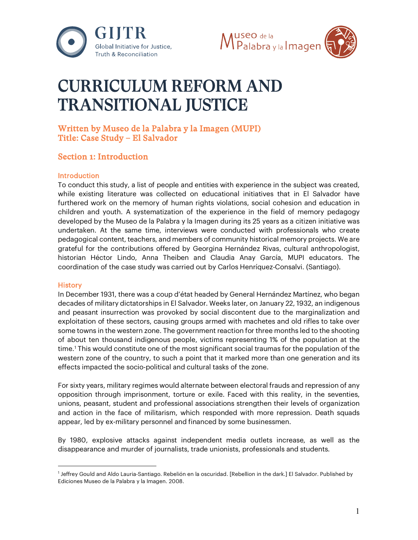



# CURRICULUM REFORM AND TRANSITIONAL JUSTICE

# Written by Museo de la Palabra y la Imagen (MUPI) Title: Case Study – El Salvador

# Section 1: Introduction

#### **Introduction**

To conduct this study, a list of people and entities with experience in the subject was created, while existing literature was collected on educational initiatives that in El Salvador have furthered work on the memory of human rights violations, social cohesion and education in children and youth. A systematization of the experience in the field of memory pedagogy developed by the Museo de la Palabra y la Imagen during its 25 years as a citizen initiative was undertaken. At the same time, interviews were conducted with professionals who create pedagogical content, teachers, and members of community historical memory projects. We are grateful for the contributions offered by Georgina Hernández Rivas, cultural anthropologist, historian Héctor Lindo, Anna Theiben and Claudia Anay García, MUPI educators. The coordination of the case study was carried out by Carlos Henríquez-Consalvi. (Santiago).

#### **History**

In December 1931, there was a coup d'état headed by General Hernández Martínez, who began decades of military dictatorships in El Salvador. Weeks later, on January 22, 1932, an indigenous and peasant insurrection was provoked by social discontent due to the marginalization and exploitation of these sectors, causing groups armed with machetes and old rifles to take over some towns in the western zone. The government reaction for three months led to the shooting of about ten thousand indigenous people, victims representing 1% of the population at the time.[1](#page-0-0) This would constitute one of the most significant social traumas for the population of the western zone of the country, to such a point that it marked more than one generation and its effects impacted the socio-political and cultural tasks of the zone.

For sixty years, military regimes would alternate between electoral frauds and repression of any opposition through imprisonment, torture or exile. Faced with this reality, in the seventies, unions, peasant, student and professional associations strengthen their levels of organization and action in the face of militarism, which responded with more repression. Death squads appear, led by ex-military personnel and financed by some businessmen.

By 1980, explosive attacks against independent media outlets increase, as well as the disappearance and murder of journalists, trade unionists, professionals and students.

<span id="page-0-0"></span><sup>1</sup> Jeffrey Gould and Aldo Lauria-Santiago. Rebelión en la oscuridad. [Rebellion in the dark.] El Salvador. Published by Ediciones Museo de la Palabra y la Imagen. 2008.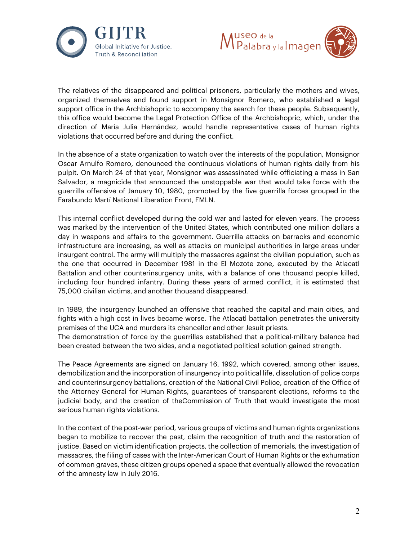



The relatives of the disappeared and political prisoners, particularly the mothers and wives, organized themselves and found support in Monsignor Romero, who established a legal support office in the Archbishopric to accompany the search for these people. Subsequently, this office would become the Legal Protection Office of the Archbishopric, which, under the direction of María Julia Hernández, would handle representative cases of human rights violations that occurred before and during the conflict.

In the absence of a state organization to watch over the interests of the population, Monsignor Oscar Arnulfo Romero, denounced the continuous violations of human rights daily from his pulpit. On March 24 of that year, Monsignor was assassinated while officiating a mass in San Salvador, a magnicide that announced the unstoppable war that would take force with the guerrilla offensive of January 10, 1980, promoted by the five guerrilla forces grouped in the Farabundo Martí National Liberation Front, FMLN.

This internal conflict developed during the cold war and lasted for eleven years. The process was marked by the intervention of the United States, which contributed one million dollars a day in weapons and affairs to the government. Guerrilla attacks on barracks and economic infrastructure are increasing, as well as attacks on municipal authorities in large areas under insurgent control. The army will multiply the massacres against the civilian population, such as the one that occurred in December 1981 in the El Mozote zone, executed by the Atlacatl Battalion and other counterinsurgency units, with a balance of one thousand people killed, including four hundred infantry. During these years of armed conflict, it is estimated that 75,000 civilian victims, and another thousand disappeared.

In 1989, the insurgency launched an offensive that reached the capital and main cities, and fights with a high cost in lives became worse. The Atlacatl battalion penetrates the university premises of the UCA and murders its chancellor and other Jesuit priests.

The demonstration of force by the guerrillas established that a political-military balance had been created between the two sides, and a negotiated political solution gained strength.

The Peace Agreements are signed on January 16, 1992, which covered, among other issues, demobilization and the incorporation of insurgency into political life, dissolution of police corps and counterinsurgency battalions, creation of the National Civil Police, creation of the Office of the Attorney General for Human Rights, guarantees of transparent elections, reforms to the judicial body, and the creation of theCommission of Truth that would investigate the most serious human rights violations.

In the context of the post-war period, various groups of victims and human rights organizations began to mobilize to recover the past, claim the recognition of truth and the restoration of justice. Based on victim identification projects, the collection of memorials, the investigation of massacres, the filing of cases with the Inter-American Court of Human Rights or the exhumation of common graves, these citizen groups opened a space that eventually allowed the revocation of the amnesty law in July 2016.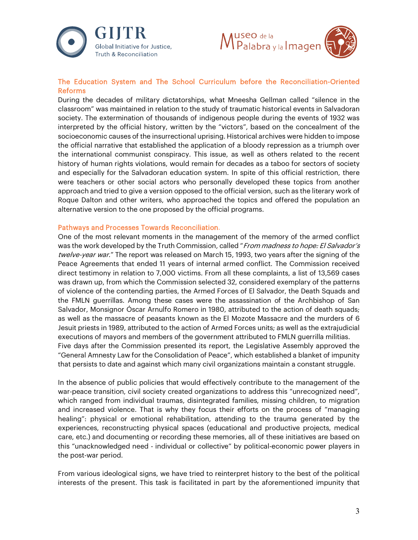



## The Education System and The School Curriculum before the Reconciliation-Oriented Reforms

During the decades of military dictatorships, what Mneesha Gellman called "silence in the classroom" was maintained in relation to the study of traumatic historical events in Salvadoran society. The extermination of thousands of indigenous people during the events of 1932 was interpreted by the official history, written by the "victors", based on the concealment of the socioeconomic causes of the insurrectional uprising. Historical archives were hidden to impose the official narrative that established the application of a bloody repression as a triumph over the international communist conspiracy. This issue, as well as others related to the recent history of human rights violations, would remain for decades as a taboo for sectors of society and especially for the Salvadoran education system. In spite of this official restriction, there were teachers or other social actors who personally developed these topics from another approach and tried to give a version opposed to the official version, such as the literary work of Roque Dalton and other writers, who approached the topics and offered the population an alternative version to the one proposed by the official programs.

#### Pathways and Processes Towards Reconciliation.

One of the most relevant moments in the management of the memory of the armed conflict was the work developed by the Truth Commission, called "From madness to hope: El Salvador's twelve-year war." The report was released on March 15, 1993, two years after the signing of the Peace Agreements that ended 11 years of internal armed conflict. The Commission received direct testimony in relation to 7,000 victims. From all these complaints, a list of 13,569 cases was drawn up, from which the Commission selected 32, considered exemplary of the patterns of violence of the contending parties, the Armed Forces of El Salvador, the Death Squads and the FMLN guerrillas. Among these cases were the assassination of the Archbishop of San Salvador, Monsignor Óscar Arnulfo Romero in 1980, attributed to the action of death squads; as well as the massacre of peasants known as the El Mozote Massacre and the murders of 6 Jesuit priests in 1989, attributed to the action of Armed Forces units; as well as the extrajudicial executions of mayors and members of the government attributed to FMLN guerrilla militias. Five days after the Commission presented its report, the Legislative Assembly approved the "General Amnesty Law for the Consolidation of Peace", which established a blanket of impunity that persists to date and against which many civil organizations maintain a constant struggle.

In the absence of public policies that would effectively contribute to the management of the war-peace transition, civil society created organizations to address this "unrecognized need", which ranged from individual traumas, disintegrated families, missing children, to migration and increased violence. That is why they focus their efforts on the process of "managing healing": physical or emotional rehabilitation, attending to the trauma generated by the experiences, reconstructing physical spaces (educational and productive projects, medical care, etc.) and documenting or recording these memories, all of these initiatives are based on this "unacknowledged need - individual or collective" by political-economic power players in the post-war period.

From various ideological signs, we have tried to reinterpret history to the best of the political interests of the present. This task is facilitated in part by the aforementioned impunity that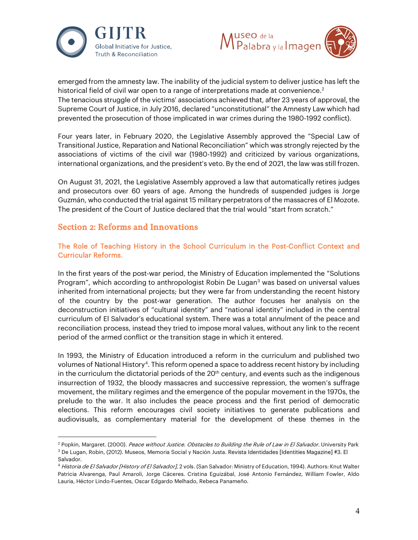



emerged from the amnesty law. The inability of the judicial system to deliver justice has left the historical field of civil war open to a range of interpretations made at convenience.<sup>[2](#page-3-0)</sup> The tenacious struggle of the victims' associations achieved that, after 23 years of approval, the Supreme Court of Justice, in July 2016, declared "unconstitutional" the Amnesty Law which had prevented the prosecution of those implicated in war crimes during the 1980-1992 conflict).

Four years later, in February 2020, the Legislative Assembly approved the "Special Law of Transitional Justice, Reparation and National Reconciliation" which was strongly rejected by the associations of victims of the civil war (1980-1992) and criticized by various organizations, international organizations, and the president's veto. By the end of 2021, the law was still frozen.

On August 31, 2021, the Legislative Assembly approved a law that automatically retires judges and prosecutors over 60 years of age. Among the hundreds of suspended judges is Jorge Guzmán, who conducted the trial against 15 military perpetrators of the massacres of El Mozote. The president of the Court of Justice declared that the trial would "start from scratch."

## Section 2: Reforms and Innovations

The Role of Teaching History in the School Curriculum in the Post-Conflict Context and Curricular Reforms.

In the first years of the post-war period, the Ministry of Education implemented the "Solutions Program", which according to anthropologist Robin De Lugan<sup>3</sup> was based on universal values inherited from international projects; but they were far from understanding the recent history of the country by the post-war generation. The author focuses her analysis on the deconstruction initiatives of "cultural identity" and "national identity" included in the central curriculum of El Salvador's educational system. There was a total annulment of the peace and reconciliation process, instead they tried to impose moral values, without any link to the recent period of the armed conflict or the transition stage in which it entered.

In 1993, the Ministry of Education introduced a reform in the curriculum and published two volumes of National History[4.](#page-3-2) This reform opened a space to address recent history by including in the curriculum the dictatorial periods of the  $20<sup>th</sup>$  century, and events such as the indigenous insurrection of 1932, the bloody massacres and successive repression, the women's suffrage movement, the military regimes and the emergence of the popular movement in the 1970s, the prelude to the war. It also includes the peace process and the first period of democratic elections. This reform encourages civil society initiatives to generate publications and audiovisuals, as complementary material for the development of these themes in the

<span id="page-3-1"></span><span id="page-3-0"></span><sup>&</sup>lt;sup>2</sup> Popkin, Margaret. (2000). Peace without Justice. Obstacles to Building the Rule of Law in El Salvador. University Park <sup>3</sup> De Lugan, Robin, (2012). Museos, Memoria Social y Nación Justa. Revista Identidades [Identities Magazine] #3. El Salvador.

<span id="page-3-2"></span><sup>4</sup> Historia de El Salvador [History of El Salvador], 2 vols. (San Salvador: Ministry of Education, 1994). Authors: Knut Walter Patricia Alvarenga, Paul Amaroli, Jorge Cáceres. Cristina Eguizábal, José Antonio Fernández, William Fowler, Aldo Lauria, Héctor Lindo-Fuentes, Oscar Edgardo Melhado, Rebeca Panameño.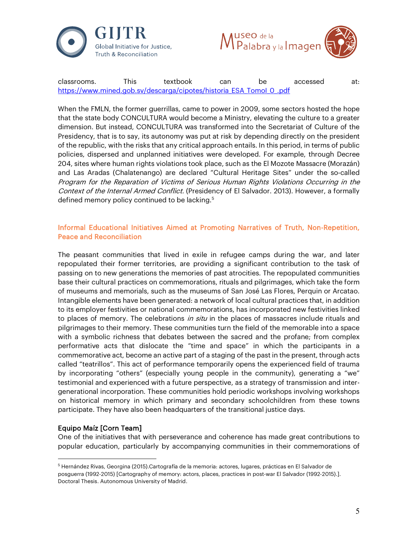



classrooms. This textbook can be accessed at: https://www.mined.gob.sv/descarga/cipotes/historia\_ESA\_Tomol\_0\_.pdf

When the FMLN, the former guerrillas, came to power in 2009, some sectors hosted the hope that the state body CONCULTURA would become a Ministry, elevating the culture to a greater dimension. But instead, CONCULTURA was transformed into the Secretariat of Culture of the Presidency, that is to say, its autonomy was put at risk by depending directly on the president of the republic, with the risks that any critical approach entails. In this period, in terms of public policies, dispersed and unplanned initiatives were developed. For example, through Decree 204, sites where human rights violations took place, such as the El Mozote Massacre (Morazán) and Las Aradas (Chalatenango) are declared "Cultural Heritage Sites" under the so-called Program for the Reparation of Victims of Serious Human Rights Violations Occurring in the Context of the Internal Armed Conflict. (Presidency of El Salvador. 2013). However, a formally defined memory policy continued to be lacking.<sup>5</sup>

## Informal Educational Initiatives Aimed at Promoting Narratives of Truth, Non-Repetition, Peace and Reconciliation

The peasant communities that lived in exile in refugee camps during the war, and later repopulated their former territories, are providing a significant contribution to the task of passing on to new generations the memories of past atrocities. The repopulated communities base their cultural practices on commemorations, rituals and pilgrimages, which take the form of museums and memorials, such as the museums of San José Las Flores, Perquin or Arcatao. Intangible elements have been generated: a network of local cultural practices that, in addition to its employer festivities or national commemorations, has incorporated new festivities linked to places of memory. The celebrations in situ in the places of massacres include rituals and pilgrimages to their memory. These communities turn the field of the memorable into a space with a symbolic richness that debates between the sacred and the profane; from complex performative acts that dislocate the "time and space" in which the participants in a commemorative act, become an active part of a staging of the past in the present, through acts called "teatrillos". This act of performance temporarily opens the experienced field of trauma by incorporating "others" (especially young people in the community), generating a "we" testimonial and experienced with a future perspective, as a strategy of transmission and intergenerational incorporation. These communities hold periodic workshops involving workshops on historical memory in which primary and secondary schoolchildren from these towns participate. They have also been headquarters of the transitional justice days.

## Equipo Maíz [Corn Team]

One of the initiatives that with perseverance and coherence has made great contributions to popular education, particularly by accompanying communities in their commemorations of

<span id="page-4-0"></span><sup>5</sup> Hernández Rivas, Georgina (2015).Cartografía de la memoria: actores, lugares, prácticas en El Salvador de posguerra (1992-2015) [Cartography of memory: actors, places, practices in post-war El Salvador (1992-2015).]. Doctoral Thesis. Autonomous University of Madrid.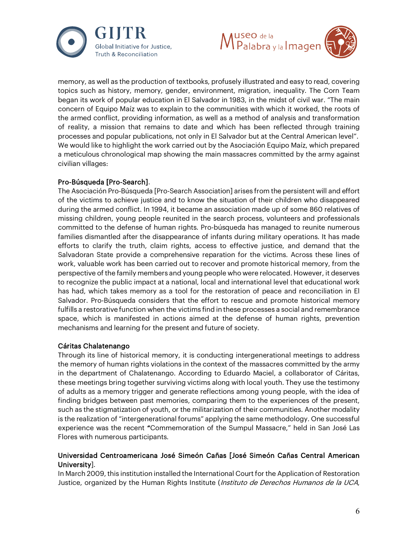



memory, as well as the production of textbooks, profusely illustrated and easy to read, covering topics such as history, memory, gender, environment, migration, inequality. The Corn Team began its work of popular education in El Salvador in 1983, in the midst of civil war. "The main concern of Equipo Maíz was to explain to the communities with which it worked, the roots of the armed conflict, providing information, as well as a method of analysis and transformation of reality, a mission that remains to date and which has been reflected through training processes and popular publications, not only in El Salvador but at the Central American level". We would like to highlight the work carried out by the Asociación Equipo Maíz, which prepared a meticulous chronological map showing the main massacres committed by the army against civilian villages:

#### Pro-Búsqueda [Pro-Search].

The Asociación Pro-Búsqueda [Pro-Search Association] arises from the persistent will and effort of the victims to achieve justice and to know the situation of their children who disappeared during the armed conflict. In 1994, it became an association made up of some 860 relatives of missing children, young people reunited in the search process, volunteers and professionals committed to the defense of human rights. Pro-búsqueda has managed to reunite numerous families dismantled after the disappearance of infants during military operations. It has made efforts to clarify the truth, claim rights, access to effective justice, and demand that the Salvadoran State provide a comprehensive reparation for the victims. Across these lines of work, valuable work has been carried out to recover and promote historical memory, from the perspective of the family members and young people who were relocated. However, it deserves to recognize the public impact at a national, local and international level that educational work has had, which takes memory as a tool for the restoration of peace and reconciliation in El Salvador. Pro-Búsqueda considers that the effort to rescue and promote historical memory fulfills a restorative function when the victims find in these processes a social and remembrance space, which is manifested in actions aimed at the defense of human rights, prevention mechanisms and learning for the present and future of society.

## Cáritas Chalatenango

Through its line of historical memory, it is conducting intergenerational meetings to address the memory of human rights violations in the context of the massacres committed by the army in the department of Chalatenango. According to Eduardo Maciel, a collaborator of Cáritas, these meetings bring together surviving victims along with local youth. They use the testimony of adults as a memory trigger and generate reflections among young people, with the idea of finding bridges between past memories, comparing them to the experiences of the present, such as the stigmatization of youth, or the militarization of their communities. Another modality is the realization of "intergenerational forums" applying the same methodology. One successful experience was the recent "Commemoration of the Sumpul Massacre," held in San José Las Flores with numerous participants.

## Universidad Centroamericana José Simeón Cañas [José Simeón Cañas Central American University].

In March 2009, this institution installed the International Court for the Application of Restoration Justice, organized by the Human Rights Institute (Instituto de Derechos Humanos de la UCA,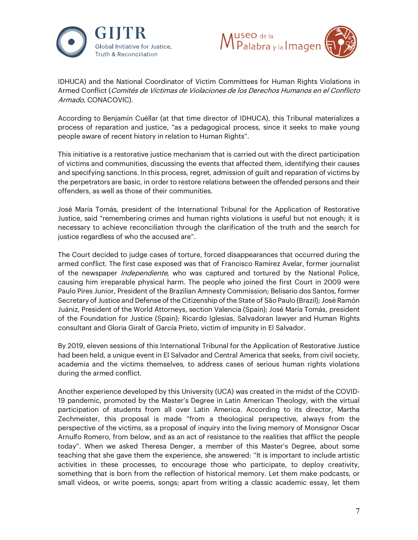



IDHUCA) and the National Coordinator of Victim Committees for Human Rights Violations in Armed Conflict (Comités de Víctimas de Violaciones de los Derechos Humanos en el Conflicto Armado, CONACOVIC).

According to Benjamín Cuéllar (at that time director of IDHUCA), this Tribunal materializes a process of reparation and justice, "as a pedagogical process, since it seeks to make young people aware of recent history in relation to Human Rights".

This initiative is a restorative justice mechanism that is carried out with the direct participation of victims and communities, discussing the events that affected them, identifying their causes and specifying sanctions. In this process, regret, admission of guilt and reparation of victims by the perpetrators are basic, in order to restore relations between the offended persons and their offenders, as well as those of their communities.

José María Tomás, president of the International Tribunal for the Application of Restorative Justice, said "remembering crimes and human rights violations is useful but not enough; it is necessary to achieve reconciliation through the clarification of the truth and the search for justice regardless of who the accused are".

The Court decided to judge cases of torture, forced disappearances that occurred during the armed conflict. The first case exposed was that of Francisco Ramírez Avelar, former journalist of the newspaper *Independiente*, who was captured and tortured by the National Police, causing him irreparable physical harm. The people who joined the first Court in 2009 were Paulo Pires Junior, President of the Brazilian Amnesty Commission; Belisario dos Santos, former Secretary of Justice and Defense of the Citizenship of the State of São Paulo (Brazil); José Ramón Juániz, President of the World Attorneys, section Valencia (Spain); José María Tomás, president of the Foundation for Justice (Spain); Ricardo Iglesias, Salvadoran lawyer and Human Rights consultant and Gloria Giralt of García Prieto, victim of impunity in El Salvador.

By 2019, eleven sessions of this International Tribunal for the Application of Restorative Justice had been held, a unique event in El Salvador and Central America that seeks, from civil society, academia and the victims themselves, to address cases of serious human rights violations during the armed conflict.

Another experience developed by this University (UCA) was created in the midst of the COVID-19 pandemic, promoted by the Master's Degree in Latin American Theology, with the virtual participation of students from all over Latin America. According to its director, Martha Zechmeister, this proposal is made "from a theological perspective, always from the perspective of the victims, as a proposal of inquiry into the living memory of Monsignor Oscar Arnulfo Romero, from below, and as an act of resistance to the realities that afflict the people today". When we asked Theresa Denger, a member of this Master's Degree, about some teaching that she gave them the experience, she answered: "It is important to include artistic activities in these processes, to encourage those who participate, to deploy creativity, something that is born from the reflection of historical memory. Let them make podcasts, or small videos, or write poems, songs; apart from writing a classic academic essay, let them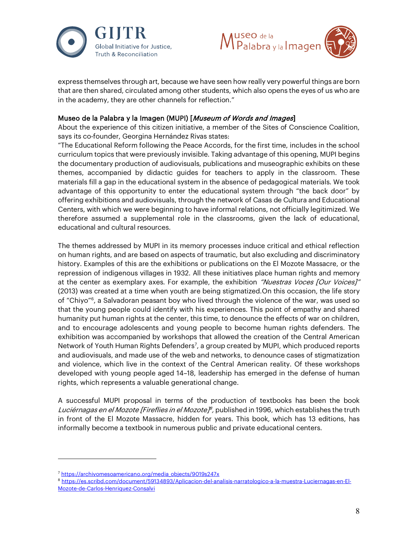



express themselves through art, because we have seen how really very powerful things are born that are then shared, circulated among other students, which also opens the eyes of us who are in the academy, they are other channels for reflection."

#### Museo de la Palabra y la Imagen (MUPI) [Museum of Words and Images]

About the experience of this citizen initiative, a member of the Sites of Conscience Coalition, says its co-founder, Georgina Hernández Rivas states:

"The Educational Reform following the Peace Accords, for the first time, includes in the school curriculum topics that were previously invisible. Taking advantage of this opening, MUPI begins the documentary production of audiovisuals, publications and museographic exhibits on these themes, accompanied by didactic guides for teachers to apply in the classroom. These materials fill a gap in the educational system in the absence of pedagogical materials. We took advantage of this opportunity to enter the educational system through "the back door" by offering exhibitions and audiovisuals, through the network of Casas de Cultura and Educational Centers, with which we were beginning to have informal relations, not officially legitimized. We therefore assumed a supplemental role in the classrooms, given the lack of educational, educational and cultural resources.

The themes addressed by MUPI in its memory processes induce critical and ethical reflection on human rights, and are based on aspects of traumatic, but also excluding and discriminatory history. Examples of this are the exhibitions or publications on the El Mozote Massacre, or the repression of indigenous villages in 1932. All these initiatives place human rights and memory at the center as exemplary axes. For example, the exhibition "Nuestras Voces [Our Voices]" (2013) was created at a time when youth are being stigmatized.On this occasion, the life story of "Chiyo"[6](#page-7-0), a Salvadoran peasant boy who lived through the violence of the war, was used so that the young people could identify with his experiences. This point of empathy and shared humanity put human rights at the center, this time, to denounce the effects of war on children, and to encourage adolescents and young people to become human rights defenders. The exhibition was accompanied by workshops that allowed the creation of the Central American Network of Youth Human Rights Defender[s7](#page-7-1) , a group created by MUPI, which produced reports and audiovisuals, and made use of the web and networks, to denounce cases of stigmatization and violence, which live in the context of the Central American reality. Of these workshops developed with young people aged 14–18, leadership has emerged in the defense of human rights, which represents a valuable generational change.

A successful MUPI proposal in terms of the production of textbooks has been the book Luciérnagas en el Mozote [Fireflies in el Mozote]<sup> $\beta$ </sup>, published in 1996, which establishes the truth in front of the El Mozote Massacre, hidden for years. This book, which has 13 editions, has informally become a textbook in numerous public and private educational centers.

<span id="page-7-1"></span><span id="page-7-0"></span><sup>7</sup> [https://archivomesoamericano.org/media\\_objects/9019s247x](https://archivomesoamericano.org/media_objects/9019s247x)

<span id="page-7-2"></span><sup>8</sup> [https://es.scribd.com/document/59134893/Aplicacion-del-analisis-narratologico-a-la-muestra-Luciernagas-en-El-](https://es.scribd.com/document/59134893/Aplicacion-del-analisis-narratologico-a-la-muestra-Luciernagas-en-El-Mozote-de-Carlos-Henriquez-Consalvi)[Mozote-de-Carlos-Henriquez-Consalvi](https://es.scribd.com/document/59134893/Aplicacion-del-analisis-narratologico-a-la-muestra-Luciernagas-en-El-Mozote-de-Carlos-Henriquez-Consalvi)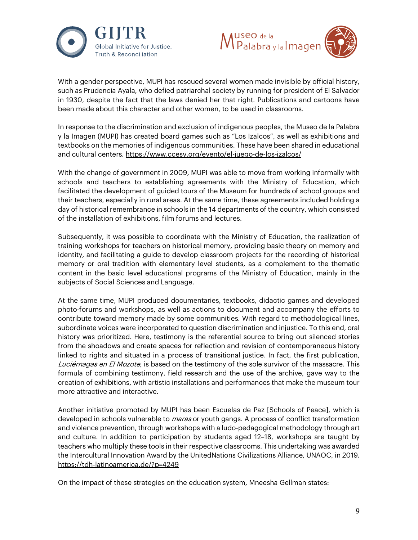



With a gender perspective, MUPI has rescued several women made invisible by official history, such as Prudencia Ayala, who defied patriarchal society by running for president of El Salvador in 1930, despite the fact that the laws denied her that right. Publications and cartoons have been made about this character and other women, to be used in classrooms.

In response to the discrimination and exclusion of indigenous peoples, the Museo de la Palabra y la Imagen (MUPI) has created board games such as "Los Izalcos", as well as exhibitions and textbooks on the memories of indigenous communities. These have been shared in educational and cultural centers.<https://www.ccesv.org/evento/el-juego-de-los-izalcos/>

With the change of government in 2009, MUPI was able to move from working informally with schools and teachers to establishing agreements with the Ministry of Education, which facilitated the development of guided tours of the Museum for hundreds of school groups and their teachers, especially in rural areas. At the same time, these agreements included holding a day of historical remembrance in schools in the 14 departments of the country, which consisted of the installation of exhibitions, film forums and lectures.

Subsequently, it was possible to coordinate with the Ministry of Education, the realization of training workshops for teachers on historical memory, providing basic theory on memory and identity, and facilitating a guide to develop classroom projects for the recording of historical memory or oral tradition with elementary level students, as a complement to the thematic content in the basic level educational programs of the Ministry of Education, mainly in the subjects of Social Sciences and Language.

At the same time, MUPI produced documentaries, textbooks, didactic games and developed photo-forums and workshops, as well as actions to document and accompany the efforts to contribute toward memory made by some communities. With regard to methodological lines, subordinate voices were incorporated to question discrimination and injustice. To this end, oral history was prioritized. Here, testimony is the referential source to bring out silenced stories from the shoadows and create spaces for reflection and revision of contemporaneous history linked to rights and situated in a process of transitional justice. In fact, the first publication, Luciérnagas en El Mozote, is based on the testimony of the sole survivor of the massacre. This formula of combining testimony, field research and the use of the archive, gave way to the creation of exhibitions, with artistic installations and performances that make the museum tour more attractive and interactive.

Another initiative promoted by MUPI has been Escuelas de Paz [Schools of Peace], which is developed in schools vulnerable to *maras* or youth gangs. A process of conflict transformation and violence prevention, through workshops with a ludo-pedagogical methodology through art and culture. In addition to participation by students aged 12–18, workshops are taught by teachers who multiply these tools in their respective classrooms. This undertaking was awarded the Intercultural Innovation Award by the UnitedNations Civilizations Alliance, UNAOC, in 2019. <https://tdh-latinoamerica.de/?p=4249>

On the impact of these strategies on the education system, Mneesha Gellman states: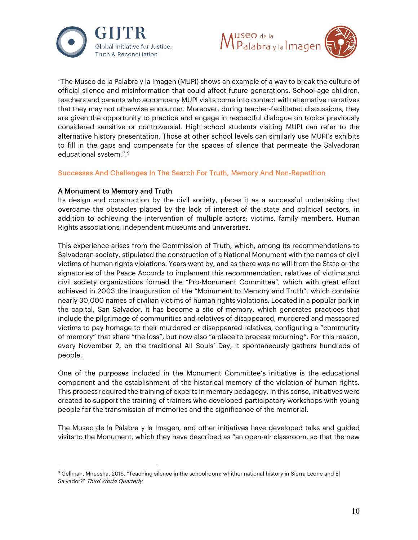



"The Museo de la Palabra y la Imagen (MUPI) shows an example of a way to break the culture of official silence and misinformation that could affect future generations. School-age children, teachers and parents who accompany MUPI visits come into contact with alternative narratives that they may not otherwise encounter. Moreover, during teacher-facilitated discussions, they are given the opportunity to practice and engage in respectful dialogue on topics previously considered sensitive or controversial. High school students visiting MUPI can refer to the alternative history presentation. Those at other school levels can similarly use MUPI's exhibits to fill in the gaps and compensate for the spaces of silence that permeate the Salvadoran educational system.".<sup>[9](#page-9-0)</sup>

#### Successes And Challenges In The Search For Truth, Memory And Non-Repetition

#### A Monument to Memory and Truth

Its design and construction by the civil society, places it as a successful undertaking that overcame the obstacles placed by the lack of interest of the state and political sectors, in addition to achieving the intervention of multiple actors: victims, family members, Human Rights associations, independent museums and universities.

This experience arises from the Commission of Truth, which, among its recommendations to Salvadoran society, stipulated the construction of a National Monument with the names of civil victims of human rights violations. Years went by, and as there was no will from the State or the signatories of the Peace Accords to implement this recommendation, relatives of victims and civil society organizations formed the "Pro-Monument Committee", which with great effort achieved in 2003 the inauguration of the "Monument to Memory and Truth", which contains nearly 30,000 names of civilian victims of human rights violations. Located in a popular park in the capital, San Salvador, it has become a site of memory, which generates practices that include the pilgrimage of communities and relatives of disappeared, murdered and massacred victims to pay homage to their murdered or disappeared relatives, configuring a "community of memory" that share "the loss", but now also "a place to process mourning". For this reason, every November 2, on the traditional All Souls' Day, it spontaneously gathers hundreds of people.

One of the purposes included in the Monument Committee's initiative is the educational component and the establishment of the historical memory of the violation of human rights. This process required the training of experts in memory pedagogy. In this sense, initiatives were created to support the training of trainers who developed participatory workshops with young people for the transmission of memories and the significance of the memorial.

The Museo de la Palabra y la Imagen, and other initiatives have developed talks and guided visits to the Monument, which they have described as "an open-air classroom, so that the new

<span id="page-9-0"></span><sup>9</sup> Gellman, Mneesha. 2015. "Teaching silence in the schoolroom: whither national history in Sierra Leone and El Salvador?" Third World Quarterly.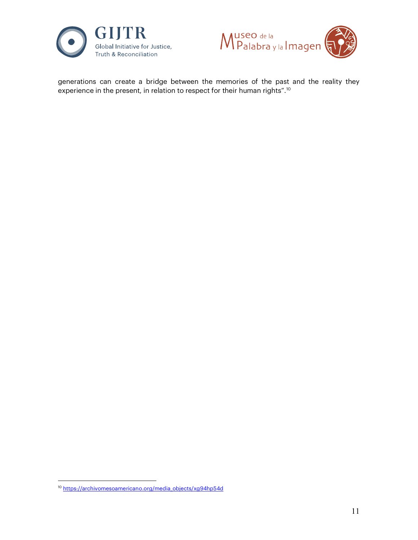



generations can create a bridge between the memories of the past and the reality they experience in the present, in relation to respect for their human rights".[10](#page-10-0)

<span id="page-10-0"></span><sup>10</sup> [https://archivomesoamericano.org/media\\_objects/xg94hp54d](https://archivomesoamericano.org/media_objects/xg94hp54d)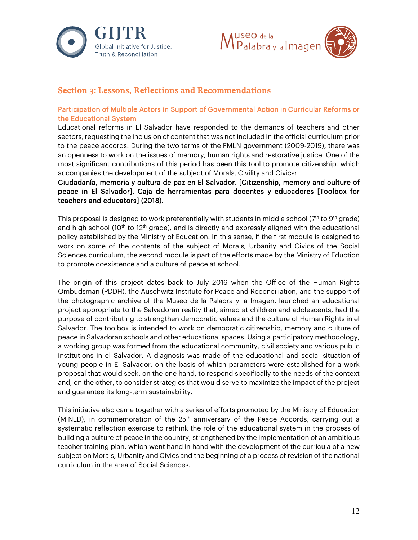



# Section 3: Lessons, Reflections and Recommendations

## Participation of Multiple Actors in Support of Governmental Action in Curricular Reforms or the Educational System

Educational reforms in El Salvador have responded to the demands of teachers and other sectors, requesting the inclusion of content that was not included in the official curriculum prior to the peace accords. During the two terms of the FMLN government (2009-2019), there was an openness to work on the issues of memory, human rights and restorative justice. One of the most significant contributions of this period has been this tool to promote citizenship, which accompanies the development of the subject of Morals, Civility and Civics:

Ciudadanía, memoria y cultura de paz en El Salvador. [Citizenship, memory and culture of peace in El Salvador]. Caja de herramientas para docentes y educadores [Toolbox for teachers and educators] (2018).

This proposal is designed to work preferentially with students in middle school  $(7<sup>th</sup>$  to 9<sup>th</sup> grade) and high school (10<sup>th</sup> to 12<sup>th</sup> grade), and is directly and expressly aligned with the educational policy established by the Ministry of Education. In this sense, if the first module is designed to work on some of the contents of the subject of Morals, Urbanity and Civics of the Social Sciences curriculum, the second module is part of the efforts made by the Ministry of Eduction to promote coexistence and a culture of peace at school.

The origin of this project dates back to July 2016 when the Office of the Human Rights Ombudsman (PDDH), the Auschwitz Institute for Peace and Reconciliation, and the support of the photographic archive of the Museo de la Palabra y la Imagen, launched an educational project appropriate to the Salvadoran reality that, aimed at children and adolescents, had the purpose of contributing to strengthen democratic values and the culture of Human Rights in el Salvador. The toolbox is intended to work on democratic citizenship, memory and culture of peace in Salvadoran schools and other educational spaces. Using a participatory methodology, a working group was formed from the educational community, civil society and various public institutions in el Salvador. A diagnosis was made of the educational and social situation of young people in El Salvador, on the basis of which parameters were established for a work proposal that would seek, on the one hand, to respond specifically to the needs of the context and, on the other, to consider strategies that would serve to maximize the impact of the project and guarantee its long-term sustainability.

This initiative also came together with a series of efforts promoted by the Ministry of Education (MINED), in commemoration of the  $25<sup>th</sup>$  anniversary of the Peace Accords, carrying out a systematic reflection exercise to rethink the role of the educational system in the process of building a culture of peace in the country, strengthened by the implementation of an ambitious teacher training plan, which went hand in hand with the development of the curricula of a new subject on Morals, Urbanity and Civics and the beginning of a process of revision of the national curriculum in the area of Social Sciences.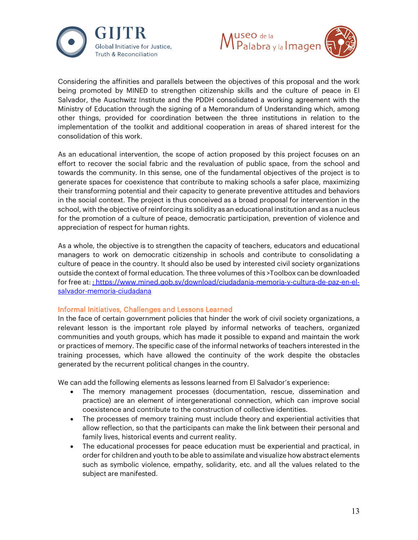



Considering the affinities and parallels between the objectives of this proposal and the work being promoted by MINED to strengthen citizenship skills and the culture of peace in El Salvador, the Auschwitz Institute and the PDDH consolidated a working agreement with the Ministry of Education through the signing of a Memorandum of Understanding which, among other things, provided for coordination between the three institutions in relation to the implementation of the toolkit and additional cooperation in areas of shared interest for the consolidation of this work.

As an educational intervention, the scope of action proposed by this project focuses on an effort to recover the social fabric and the revaluation of public space, from the school and towards the community. In this sense, one of the fundamental objectives of the project is to generate spaces for coexistence that contribute to making schools a safer place, maximizing their transforming potential and their capacity to generate preventive attitudes and behaviors in the social context. The project is thus conceived as a broad proposal for intervention in the school, with the objective of reinforcing its solidity as an educational institution and as a nucleus for the promotion of a culture of peace, democratic participation, prevention of violence and appreciation of respect for human rights.

As a whole, the objective is to strengthen the capacity of teachers, educators and educational managers to work on democratic citizenship in schools and contribute to consolidating a culture of peace in the country. It should also be used by interested civil society organizations outside the context of formal education. The three volumes of this >Toolbox can be downloaded for free at: : https://www.mined.gob.sv/download/ciudadania-memoria-y-cultura-de-paz-en-elsalvador-memoria-ciudadana

#### Informal Initiatives, Challenges and Lessons Learned

In the face of certain government policies that hinder the work of civil society organizations, a relevant lesson is the important role played by informal networks of teachers, organized communities and youth groups, which has made it possible to expand and maintain the work or practices of memory. The specific case of the informal networks of teachers interested in the training processes, which have allowed the continuity of the work despite the obstacles generated by the recurrent political changes in the country.

We can add the following elements as lessons learned from El Salvador's experience:

- The memory management processes (documentation, rescue, dissemination and practice) are an element of intergenerational connection, which can improve social coexistence and contribute to the construction of collective identities.
- The processes of memory training must include theory and experiential activities that allow reflection, so that the participants can make the link between their personal and family lives, historical events and current reality.
- The educational processes for peace education must be experiential and practical, in order for children and youth to be able to assimilate and visualize how abstract elements such as symbolic violence, empathy, solidarity, etc. and all the values related to the subject are manifested.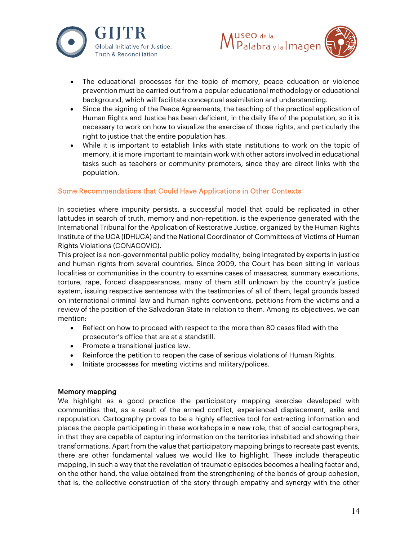



- The educational processes for the topic of memory, peace education or violence prevention must be carried out from a popular educational methodology or educational background, which will facilitate conceptual assimilation and understanding.
- Since the signing of the Peace Agreements, the teaching of the practical application of Human Rights and Justice has been deficient, in the daily life of the population, so it is necessary to work on how to visualize the exercise of those rights, and particularly the right to justice that the entire population has.
- While it is important to establish links with state institutions to work on the topic of memory, it is more important to maintain work with other actors involved in educational tasks such as teachers or community promoters, since they are direct links with the population.

## Some Recommendations that Could Have Applications in Other Contexts

In societies where impunity persists, a successful model that could be replicated in other latitudes in search of truth, memory and non-repetition, is the experience generated with the International Tribunal for the Application of Restorative Justice, organized by the Human Rights Institute of the UCA (IDHUCA) and the National Coordinator of Committees of Victims of Human Rights Violations (CONACOVIC).

This project is a non-governmental public policy modality, being integrated by experts in justice and human rights from several countries. Since 2009, the Court has been sitting in various localities or communities in the country to examine cases of massacres, summary executions, torture, rape, forced disappearances, many of them still unknown by the country's justice system, issuing respective sentences with the testimonies of all of them, legal grounds based on international criminal law and human rights conventions, petitions from the victims and a review of the position of the Salvadoran State in relation to them. Among its objectives, we can mention:

- Reflect on how to proceed with respect to the more than 80 cases filed with the prosecutor's office that are at a standstill.
- Promote a transitional justice law.
- Reinforce the petition to reopen the case of serious violations of Human Rights.
- Initiate processes for meeting victims and military/polices.

#### Memory mapping

We highlight as a good practice the participatory mapping exercise developed with communities that, as a result of the armed conflict, experienced displacement, exile and repopulation. Cartography proves to be a highly effective tool for extracting information and places the people participating in these workshops in a new role, that of social cartographers, in that they are capable of capturing information on the territories inhabited and showing their transformations. Apart from the value that participatory mapping brings to recreate past events, there are other fundamental values we would like to highlight. These include therapeutic mapping, in such a way that the revelation of traumatic episodes becomes a healing factor and, on the other hand, the value obtained from the strengthening of the bonds of group cohesion, that is, the collective construction of the story through empathy and synergy with the other